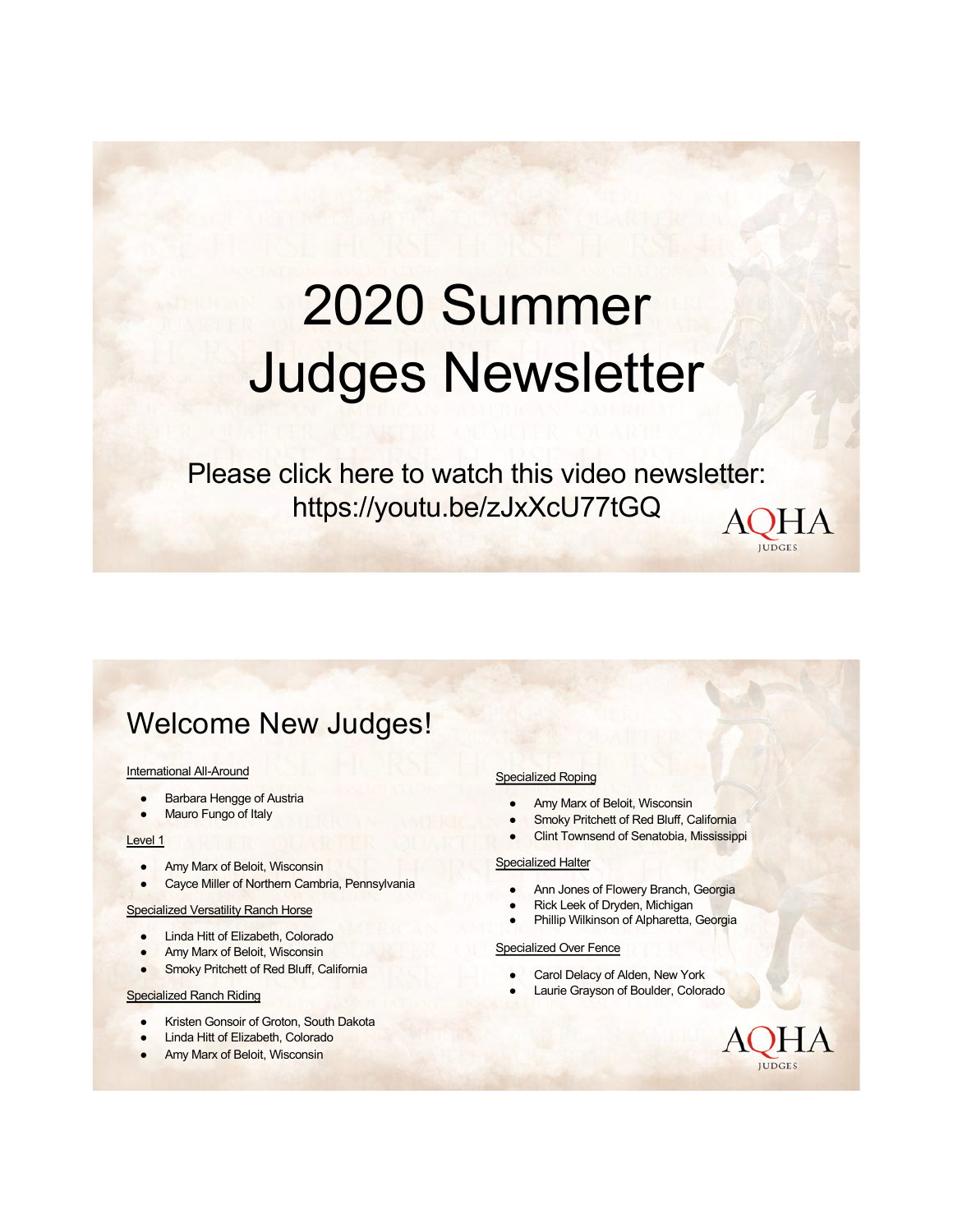# 2020 Summer Judges Newsletter

Please click here to watch this video newsletter: <https://youtu.be/zJxXcU77tGQ>**AQHA** 

### Welcome New Judges!

#### International All-Around

- **Barbara Hengge of Austria**
- Mauro Fungo of Italy

#### Level 1

- Amy Marx of Beloit, Wisconsin
- Cayce Miller of Northern Cambria, Pennsylvania

#### Specialized Versatility Ranch Horse

- Linda Hitt of Elizabeth, Colorado
- Amy Marx of Beloit, Wisconsin
- **•** Smoky Pritchett of Red Bluff, California

#### Specialized Ranch Riding

- Kristen Gonsoir of Groton, South Dakota
- **Linda Hitt of Elizabeth, Colorado**
- **Amy Marx of Beloit, Wisconsin**

#### Specialized Roping

- Amy Marx of Beloit, Wisconsin
- Smoky Pritchett of Red Bluff, California
- **Clint Townsend of Senatobia, Mississippi**

#### Specialized Halter

- Ann Jones of Flowery Branch, Georgia
- Rick Leek of Dryden, Michigan
- Phillip Wilkinson of Alpharetta, Georgia

#### Specialized Over Fence

- Carol Delacy of Alden, New York
- Laurie Grayson of Boulder, Colorado

HA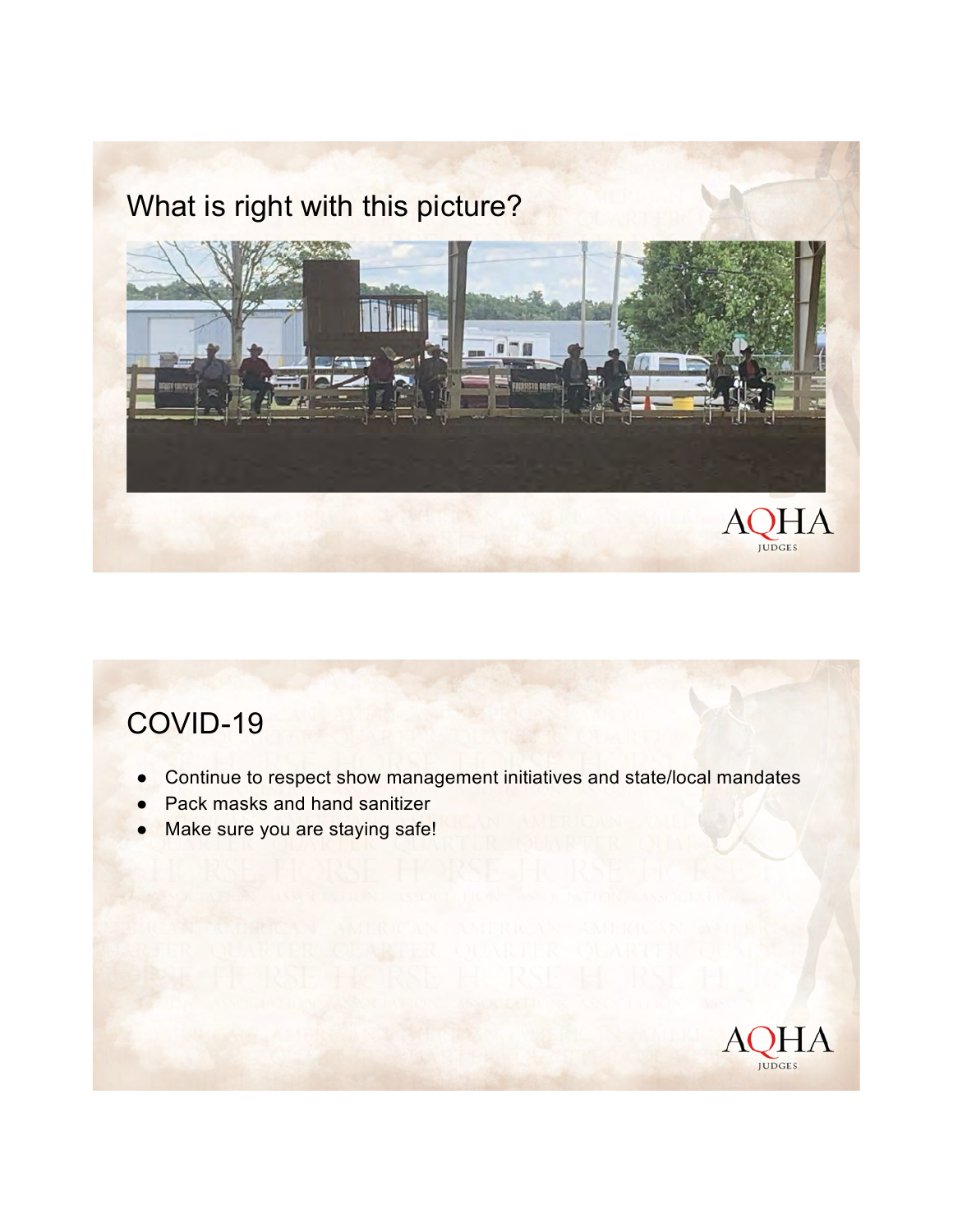### What is right with this picture?



### COVID-19

- Continue to respect show management initiatives and state/local mandates
- **Pack masks and hand sanitizer**
- Make sure you are staying safe!

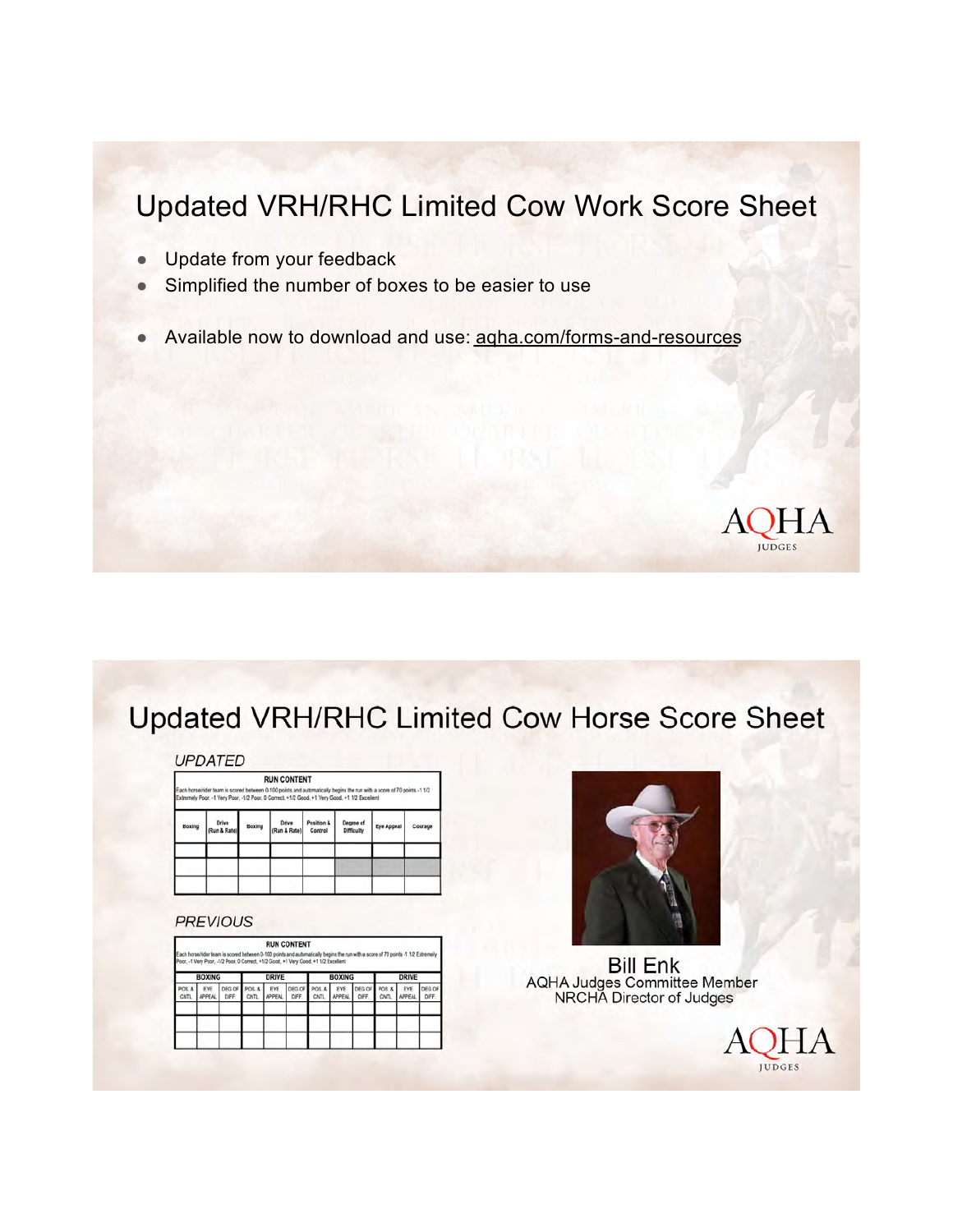### Updated VRH/RHC Limited Cow Work Score Sheet

- Update from your feedback
- Simplified the number of boxes to be easier to use
- Available now to download and use: agha.com/forms-and-resources



HА

**IUDGES** 

### **Updated VRH/RHC Limited Cow Horse Score Sheet**

### **UPDATED**

**RUN CONTENT** n 0-100 points and automatically begins the run with a score of 70 points -1 1/2<br>1.0 Cornect, +1/2 Good, +1 View Good, +1 1/2 Excellent

| Boxing | Drive<br>(Run & Rate) | Boxing | Drive<br>(Run & Rate) | Position &<br>Control | Degree of<br><b>Difficulty</b> | Eye Appeal | Courage |
|--------|-----------------------|--------|-----------------------|-----------------------|--------------------------------|------------|---------|
|        |                       |        |                       |                       |                                |            |         |
|        |                       |        |                       |                       |                                |            |         |
|        |                       |        |                       |                       |                                |            |         |

### **PREVIOUS**

**RUN CONTENT** veen 0-100 points and automatica<br>rect, +1/2 Good, +1 Very Good, +1

| <b>BOXING</b>         |                      |                | <b>DRIVE</b>              |                      |                 | <b>BOXING</b>        |                      |                 | <b>DRIVE</b>  |                      |                |
|-----------------------|----------------------|----------------|---------------------------|----------------------|-----------------|----------------------|----------------------|-----------------|---------------|----------------------|----------------|
| POS. &<br><b>CNTL</b> | EYE<br><b>APPEAL</b> | DEG OF<br>DFF. | <b>POS. &amp;</b><br>CNTL | EYE<br><b>APPEAL</b> | DEG OF<br>DIFF. | POS.&<br><b>CNTL</b> | EYE<br><b>APPEAL</b> | DEG OF<br>DIFF. | POS.&<br>CNTL | EYE<br><b>APPEAL</b> | DEG OF<br>DIFF |
|                       |                      |                |                           |                      |                 |                      |                      |                 |               |                      |                |
|                       |                      |                |                           |                      |                 |                      |                      |                 |               |                      |                |



**Bill Enk** AQHA Judges Committee Member<br>NRCHA Director of Judges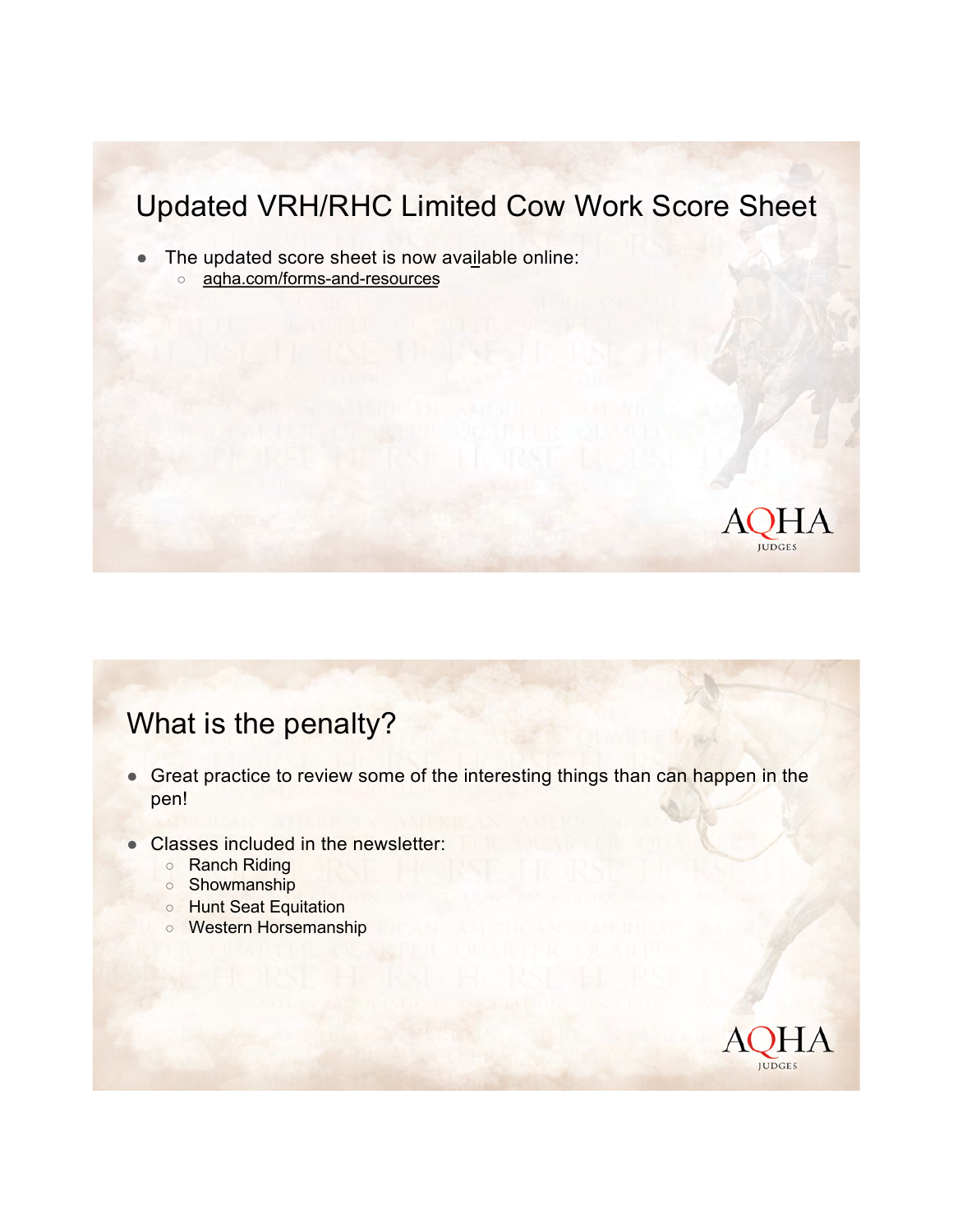### Updated VRH/RHC Limited Cow Work Score Sheet

- The updated score sheet [is](http://aqha.com/forms-and-resources) now available online:
	- agha.com/forms-and-resources



### What is the penalty?

- Great practice to review some of the interesting things than can happen in the pen!
- Classes included in the newsletter:
	- Ranch Riding
	- Showmanship
	- Hunt Seat Equitation
	- Western Horsemanship